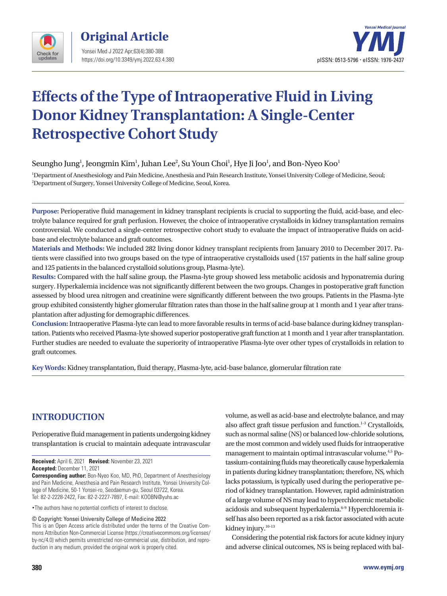



# **Effects of the Type of Intraoperative Fluid in Living Donor Kidney Transplantation: A Single-Center Retrospective Cohort Study**

Seungho Jung $^{\rm l}$ , Jeongmin Kim $^{\rm l}$ , Juhan Lee $^{\rm 2}$ , Su Youn Choi $^{\rm l}$ , Hye Ji Joo $^{\rm l}$ , and Bon-Nyeo Koo $^{\rm l}$ 

1 Department of Anesthesiology and Pain Medicine, Anesthesia and Pain Research Institute, Yonsei University College of Medicine, Seoul; 2 Department of Surgery, Yonsei University College of Medicine, Seoul, Korea.

**Purpose:** Perioperative fluid management in kidney transplant recipients is crucial to supporting the fluid, acid-base, and electrolyte balance required for graft perfusion. However, the choice of intraoperative crystalloids in kidney transplantation remains controversial. We conducted a single-center retrospective cohort study to evaluate the impact of intraoperative fluids on acidbase and electrolyte balance and graft outcomes.

**Materials and Methods:** We included 282 living donor kidney transplant recipients from January 2010 to December 2017. Patients were classified into two groups based on the type of intraoperative crystalloids used (157 patients in the half saline group and 125 patients in the balanced crystalloid solutions group, Plasma-lyte).

**Results:** Compared with the half saline group, the Plasma-lyte group showed less metabolic acidosis and hyponatremia during surgery. Hyperkalemia incidence was not significantly different between the two groups. Changes in postoperative graft function assessed by blood urea nitrogen and creatinine were significantly different between the two groups. Patients in the Plasma-lyte group exhibited consistently higher glomerular filtration rates than those in the half saline group at 1 month and 1 year after transplantation after adjusting for demographic differences.

**Conclusion:** Intraoperative Plasma-lyte can lead to more favorable results in terms of acid-base balance during kidney transplantation. Patients who received Plasma-lyte showed superior postoperative graft function at 1 month and 1 year after transplantation. Further studies are needed to evaluate the superiority of intraoperative Plasma-lyte over other types of crystalloids in relation to graft outcomes.

**Key Words:** Kidney transplantation, fluid therapy, Plasma-lyte, acid-base balance, glomerular filtration rate

# **INTRODUCTION**

Perioperative fluid management in patients undergoing kidney transplantation is crucial to maintain adequate intravascular

**Received:** April 6, 2021 **Revised:** November 23, 2021 **Accepted:** December 11, 2021

**Corresponding author:** Bon-Nyeo Koo, MD, PhD, Department of Anesthesiology and Pain Medicine, Anesthesia and Pain Research Institute, Yonsei University College of Medicine, 50-1 Yonsei-ro, Seodaemun-gu, Seoul 03722, Korea. Tel: 82-2-2228-2422, Fax: 82-2-2227-7897, E-mail: KOOBN@yuhs.ac

•The authors have no potential conflicts of interest to disclose.

© Copyright: Yonsei University College of Medicine 2022

This is an Open Access article distributed under the terms of the Creative Commons Attribution Non-Commercial License (https://creativecommons.org/licenses/ by-nc/4.0) which permits unrestricted non-commercial use, distribution, and reproduction in any medium, provided the original work is properly cited.

such as normal saline (NS) or balanced low-chloride solutions, are the most common and widely used fluids for intraoperative management to maintain optimal intravascular volume.4,5 Potassium-containing fluids may theoretically cause hyperkalemia in patients during kidney transplantation; therefore, NS, which lacks potassium, is typically used during the perioperative period of kidney transplantation. However, rapid administration of a large volume of NS may lead to hyperchloremic metabolic acidosis and subsequent hyperkalemia.<sup>6-9</sup> Hyperchloremia itself has also been reported as a risk factor associated with acute kidney injury.<sup>10-13</sup> Considering the potential risk factors for acute kidney injury and adverse clinical outcomes, NS is being replaced with bal-

volume, as well as acid-base and electrolyte balance, and may also affect graft tissue perfusion and function. $1-3$  Crystalloids,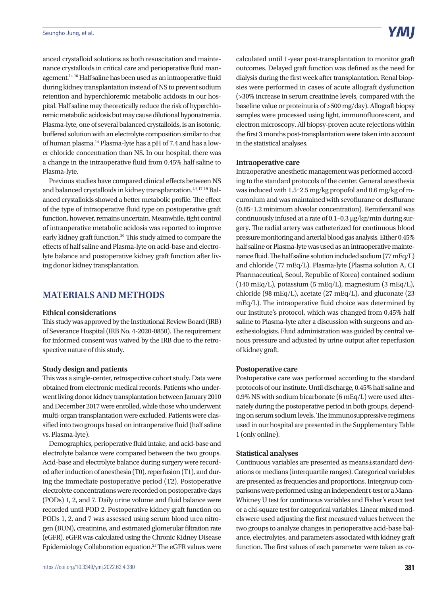anced crystalloid solutions as both resuscitation and maintenance crystalloids in critical care and perioperative fluid management.14-16 Half saline has been used as an intraoperative fluid during kidney transplantation instead of NS to prevent sodium retention and hyperchloremic metabolic acidosis in our hospital. Half saline may theoretically reduce the risk of hyperchloremic metabolic acidosis but may cause dilutional hyponatremia. Plasma-lyte, one of several balanced crystalloids, is an isotonic, buffered solution with an electrolyte composition similar to that of human plasma.14 Plasma-lyte has a pH of 7.4 and has a lower chloride concentration than NS. In our hospital, there was a change in the intraoperative fluid from 0.45% half saline to Plasma-lyte.

Previous studies have compared clinical effects between NS and balanced crystalloids in kidney transplantation.<sup>4,9,17-19</sup> Balanced crystalloids showed a better metabolic profile. The effect of the type of intraoperative fluid type on postoperative graft function, however, remains uncertain. Meanwhile, tight control of intraoperative metabolic acidosis was reported to improve early kidney graft function.<sup>20</sup> This study aimed to compare the effects of half saline and Plasma-lyte on acid-base and electrolyte balance and postoperative kidney graft function after living donor kidney transplantation.

## **MATERIALS AND METHODS**

#### **Ethical considerations**

This study was approved by the Institutional Review Board (IRB) of Severance Hospital (IRB No. 4-2020-0850). The requirement for informed consent was waived by the IRB due to the retrospective nature of this study.

## **Study design and patients**

This was a single-center, retrospective cohort study. Data were obtained from electronic medical records. Patients who underwent living donor kidney transplantation between January 2010 and December 2017 were enrolled, while those who underwent multi-organ transplantation were excluded. Patients were classified into two groups based on intraoperative fluid (half saline vs. Plasma-lyte).

Demographics, perioperative fluid intake, and acid-base and electrolyte balance were compared between the two groups. Acid-base and electrolyte balance during surgery were recorded after induction of anesthesia (T0), reperfusion (T1), and during the immediate postoperative period (T2). Postoperative electrolyte concentrations were recorded on postoperative days (PODs) 1, 2, and 7. Daily urine volume and fluid balance were recorded until POD 2. Postoperative kidney graft function on PODs 1, 2, and 7 was assessed using serum blood urea nitrogen (BUN), creatinine, and estimated glomerular filtration rate (eGFR). eGFR was calculated using the Chronic Kidney Disease Epidemiology Collaboration equation.21 The eGFR values were calculated until 1-year post-transplantation to monitor graft outcomes. Delayed graft function was defined as the need for dialysis during the first week after transplantation. Renal biopsies were performed in cases of acute allograft dysfunction (>30% increase in serum creatinine levels, compared with the baseline value or proteinuria of >500 mg/day). Allograft biopsy samples were processed using light, immunofluorescent, and electron microscopy. All biopsy-proven acute rejections within the first 3 months post-transplantation were taken into account in the statistical analyses.

## **Intraoperative care**

Intraoperative anesthetic management was performed according to the standard protocols of the center. General anesthesia was induced with 1.5–2.5 mg/kg propofol and 0.6 mg/kg of rocuronium and was maintained with sevoflurane or desflurane (0.85–1.2 minimum alveolar concentration). Remifentanil was continuously infused at a rate of 0.1–0.3 μg/kg/min during surgery. The radial artery was catheterized for continuous blood pressure monitoring and arterial blood gas analysis. Either 0.45% half saline or Plasma-lyte was used as an intraoperative maintenance fluid. The half saline solution included sodium (77 mEq/L) and chloride (77 mEq/L). Plasma-lyte (Plasma solution A, CJ Pharmaceutical, Seoul, Republic of Korea) contained sodium  $(140 \text{ mEq/L})$ , potassium  $(5 \text{ mEq/L})$ , magnesium  $(3 \text{ mEq/L})$ , chloride (98 mEq/L), acetate (27 mEq/L), and gluconate (23 mEq/L). The intraoperative fluid choice was determined by our institute's protocol, which was changed from 0.45% half saline to Plasma-lyte after a discussion with surgeons and anesthesiologists. Fluid administration was guided by central venous pressure and adjusted by urine output after reperfusion of kidney graft.

## **Postoperative care**

Postoperative care was performed according to the standard protocols of our institute. Until discharge, 0.45% half saline and 0.9% NS with sodium bicarbonate (6 mEq/L) were used alternately during the postoperative period in both groups, depending on serum sodium levels. The immunosuppressive regimens used in our hospital are presented in the Supplementary Table 1 (only online).

## **Statistical analyses**

Continuous variables are presented as means±standard deviations or medians (interquartile ranges). Categorical variables are presented as frequencies and proportions. Intergroup comparisons were performed using an independent t-test or a Mann-Whitney U test for continuous variables and Fisher's exact test or a chi-square test for categorical variables. Linear mixed models were used adjusting the first measured values between the two groups to analyze changes in perioperative acid-base balance, electrolytes, and parameters associated with kidney graft function. The first values of each parameter were taken as co-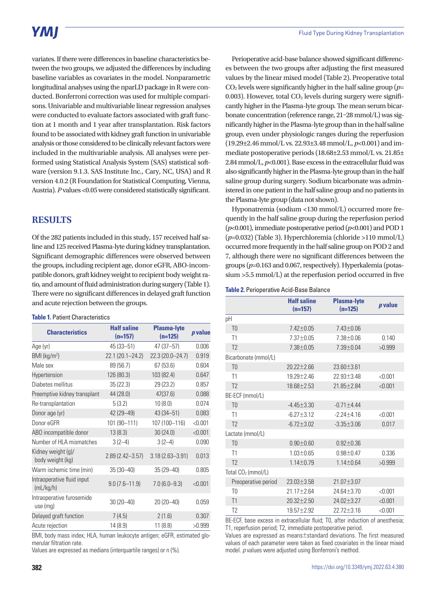# YMI

variates. If there were differences in baseline characteristics between the two groups, we adjusted the differences by including baseline variables as covariates in the model. Nonparametric longitudinal analyses using the nparLD package in R were conducted. Bonferroni correction was used for multiple comparisons. Univariable and multivariable linear regression analyses were conducted to evaluate factors associated with graft function at 1 month and 1 year after transplantation. Risk factors found to be associated with kidney graft function in univariable analysis or those considered to be clinically relevant factors were included in the multivariable analysis. All analyses were performed using Statistical Analysis System (SAS) statistical software (version 9.1.3. SAS Institute Inc., Cary, NC, USA) and R version 4.0.2 (R Foundation for Statistical Computing, Vienna, Austria). *P* values <0.05 were considered statistically significant.

# **RESULTS**

Of the 282 patients included in this study, 157 received half saline and 125 received Plasma-lyte during kidney transplantation. Significant demographic differences were observed between the groups, including recipient age, donor eGFR, ABO-incompatible donors, graft kidney weight to recipient body weight ratio, and amount of fluid administration during surgery (Table 1). There were no significant differences in delayed graft function and acute rejection between the groups.

## **Table 1.** Patient Characteristics

| <b>Characteristics</b>                  | <b>Half saline</b><br>$(n=157)$ | <b>Plasma-lyte</b><br>$(n=125)$ | p value |
|-----------------------------------------|---------------------------------|---------------------------------|---------|
| Age (yr)                                | 45 (33-51)                      | 47 (37-57)                      | 0.006   |
| $BMI$ (kg/m <sup>2</sup> )              | 22.1 (20.1-24.2)                | 22.3 (20.0-24.7)                | 0.919   |
| Male sex                                | 89 (56.7)                       | 67(53.6)                        | 0.604   |
| Hypertension                            | 126 (80.3)                      | 103 (82.4)                      | 0.647   |
| Diabetes mellitus                       | 35(22.3)                        | 29 (23.2)                       | 0.857   |
| Preemptive kidney transplant            | 44 (28.0)                       | 47(37.6)                        | 0.088   |
| Re-transplantation                      | 5(3.2)                          | 10(8.0)                         | 0.074   |
| Donor age (yr)                          | 42 (29-49)                      | 43 (34-51)                      | 0.083   |
| Donor eGFR                              | 101 (90-111)                    | 107 (100-116)                   | < 0.001 |
| ABO incompatible donor                  | 13(8.3)                         | 30(24.0)                        | < 0.001 |
| Number of HLA mismatches                | $3(2-4)$                        | $3(2-4)$                        | 0.090   |
| Kidney weight (g)/<br>body weight (kg)  | $2.89(2.42 - 3.57)$             | $3.18(2.63 - 3.91)$             | 0.013   |
| Warm ischemic time (min)                | $35(30 - 40)$                   | 35 (29-40)                      | 0.805   |
| Intraoperative fluid input<br>(mL/kg/h) | $9.0(7.6 - 11.9)$               | $7.0(6.0-9.3)$                  | < 0.001 |
| Intraoperative furosemide<br>use (mg)   | $30(20 - 40)$                   | 20 (20 - 40)                    | 0.059   |
| Delayed graft function                  | 7(4.5)                          | 2(1.6)                          | 0.307   |
| Acute rejection                         | 14 (8.9)                        | 11(8.8)                         | >0.999  |

BMI, body mass index; HLA, human leukocyte antigen; eGFR, estimated glomerular filtration rate.

Values are expressed as medians (interquartile ranges) or n (%).

Perioperative acid-base balance showed significant differences between the two groups after adjusting the first measured values by the linear mixed model (Table 2). Preoperative total  $CO<sub>2</sub>$  levels were significantly higher in the half saline group ( $p=$ 0.003). However, total  $CO<sub>2</sub>$  levels during surgery were significantly higher in the Plasma-lyte group. The mean serum bicarbonate concentration (reference range, 21–28 mmol/L) was significantly higher in the Plasma-lyte group than in the half saline group, even under physiologic ranges during the reperfusion (19.29±2.46 mmol/L vs. 22.93±3.48 mmol/L, *p*<0.001) and immediate postoperative periods (18.68±2.53 mmol/L vs. 21.85± 2.84 mmol/L, *p*<0.001). Base excess in the extracellular fluid was also significantly higher in the Plasma-lyte group than in the half saline group during surgery. Sodium bicarbonate was administered in one patient in the half saline group and no patients in the Plasma-lyte group (data not shown).

Hyponatremia (sodium <130 mmol/L) occurred more frequently in the half saline group during the reperfusion period (*p*<0.001), immediate postoperative period (*p*<0.001) and POD 1 (*p*=0.032) (Table 3). Hyperchloremia (chloride >110 mmol/L) occurred more frequently in the half saline group on POD 2 and 7, although there were no significant differences between the groups (*p*=0.163 and 0.067, respectively). Hyperkalemia (potassium >5.5 mmol/L) at the reperfusion period occurred in five

|  | Table 2. Perioperative Acid-Base Balance |  |  |
|--|------------------------------------------|--|--|
|--|------------------------------------------|--|--|

|                                                                              | <b>Half saline</b><br>$(n=157)$ | <b>Plasma-lyte</b><br>$(n=125)$ | p value |
|------------------------------------------------------------------------------|---------------------------------|---------------------------------|---------|
| рH                                                                           |                                 |                                 |         |
| T <sub>0</sub>                                                               | 7.42±0.05                       | 7.43±0.06                       |         |
| T1                                                                           | $7.37 + 0.05$                   | $7.38 + 0.06$                   | 0.140   |
| T <sub>2</sub>                                                               | 7.38±0.05                       | 7.39±0.04                       | >0.999  |
| Bicarbonate (mmol/L)                                                         |                                 |                                 |         |
| T <sub>0</sub>                                                               | $20.22 + 2.66$                  | 23.60±3.61                      |         |
| T1                                                                           | 19.29±2.46                      | 22.93±3.48                      | < 0.001 |
| T <sub>2</sub>                                                               | 18.68±2.53                      | 21.85±2.84                      | < 0.001 |
| BE-ECF (mmol/L)                                                              |                                 |                                 |         |
| T <sub>0</sub>                                                               | $-4.45 \pm 3.30$                | $-0.71 + 4.44$                  |         |
| T1                                                                           | $-6.27 + 3.12$                  | $-2.24 + 4.16$                  | < 0.001 |
| T <sub>2</sub>                                                               | $-6.72 \pm 3.02$                | $-3.35 \pm 3.06$                | 0.017   |
| Lactate (mmol/L)                                                             |                                 |                                 |         |
| T <sub>0</sub>                                                               | $0.90 + 0.60$                   | $0.92 \pm 0.36$                 |         |
| T1                                                                           | $1.03 + 0.65$                   | $0.98 + 0.47$                   | 0.336   |
| T <sub>2</sub>                                                               | $1.14 \pm 0.79$                 | $1.14 \pm 0.64$                 | >0.999  |
| Total CO <sub>2</sub> (mmol/L)                                               |                                 |                                 |         |
| Preoperative period                                                          | 23.03±3.58                      | 21.07±3.07                      |         |
| T <sub>0</sub>                                                               | 21.17±2.64                      | 24.64±3.70                      | < 0.001 |
| T1                                                                           | 20.32±2.50                      | 24.02±3.27                      | < 0.001 |
| T <sub>2</sub>                                                               | 19.57±2.92                      | 22.72±3.16                      | < 0.001 |
| BE-ECE hase excess in extracellular fluid: TO after induction of anesthesia: |                                 |                                 |         |

BE-ECF, base excess in extracellular fluid; T0, after induction of anesthesia; T1, reperfusion period; T2, immediate postoperative period.

Values are expressed as means±standard deviations. The first measured values of each parameter were taken as fixed covariates in the linear mixed model. *p* values were adjusted using Bonferroni's method.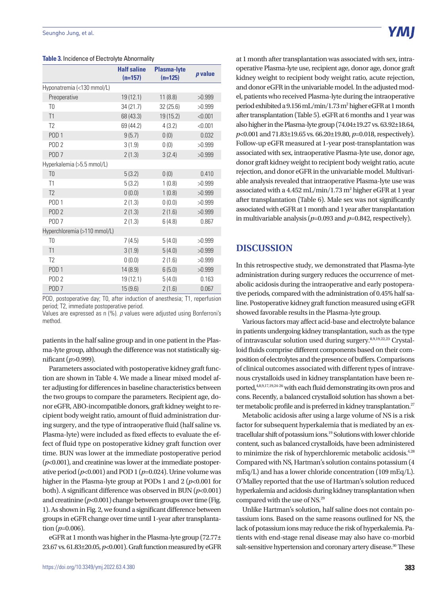|                              | <b>Half saline</b> | <b>Plasma-lyte</b> | p value |
|------------------------------|--------------------|--------------------|---------|
|                              | $(n=157)$          | $(n=125)$          |         |
| Hyponatremia (<130 mmol/L)   |                    |                    |         |
| Preoperative                 | 19 (12.1)          | 11(8.8)            | >0.999  |
| T <sub>0</sub>               | 34 (21.7)          | 32(25.6)           | >0.999  |
| T1                           | 68 (43.3)          | 19 (15.2)          | < 0.001 |
| T <sub>2</sub>               | 69 (44.2)          | 4(3.2)             | < 0.001 |
| POD <sub>1</sub>             | 9(5.7)             | 0(0)               | 0.032   |
| POD <sub>2</sub>             | 3(1.9)             | 0(0)               | >0.999  |
| POD <sub>7</sub>             | 2(1.3)             | 3(2.4)             | >0.999  |
| Hyperkalemia (>5.5 mmol/L)   |                    |                    |         |
| T <sub>0</sub>               | 5(3.2)             | 0(0)               | 0.410   |
| T1                           | 5(3.2)             | 1(0.8)             | >0.999  |
| T <sub>2</sub>               | 0(0.0)             | 1(0.8)             | >0.999  |
| POD <sub>1</sub>             | 2(1.3)             | 0(0.0)             | >0.999  |
| POD <sub>2</sub>             | 2(1.3)             | 2(1.6)             | >0.999  |
| POD <sub>7</sub>             | 2(1.3)             | 6(4.8)             | 0.867   |
| Hyperchloremia (>110 mmol/L) |                    |                    |         |
| T <sub>0</sub>               | 7(4.5)             | 5(4.0)             | >0.999  |
| T1                           | 3(1.9)             | 5(4.0)             | >0.999  |
| T <sub>2</sub>               | 0(0.0)             | 2(1.6)             | >0.999  |
| POD <sub>1</sub>             | 14 (8.9)           | 6(5.0)             | >0.999  |
| POD <sub>2</sub>             | 19 (12.1)          | 5(4.0)             | 0.163   |
| POD <sub>7</sub>             | 15(9.6)            | 2(1.6)             | 0.067   |

### **Table 3.** Incidence of Electrolyte Abnormality

POD, postoperative day; T0, after induction of anesthesia; T1, reperfusion period; T2, immediate postoperative period.

Values are expressed as n (%). *p* values were adjusted using Bonferroni's method.

patients in the half saline group and in one patient in the Plasma-lyte group, although the difference was not statistically significant (*p*>0.999).

Parameters associated with postoperative kidney graft function are shown in Table 4. We made a linear mixed model after adjusting for differences in baseline characteristics between the two groups to compare the parameters. Recipient age, donor eGFR, ABO-incompatible donors, graft kidney weight to recipient body weight ratio, amount of fluid administration during surgery, and the type of intraoperative fluid (half saline vs. Plasma-lyte) were included as fixed effects to evaluate the effect of fluid type on postoperative kidney graft function over time. BUN was lower at the immediate postoperative period (*p*<0.001), and creatinine was lower at the immediate postoperative period  $(p<0.001)$  and POD 1  $(p=0.024)$ . Urine volume was higher in the Plasma-lyte group at PODs 1 and 2 ( $p$ <0.001 for both). A significant difference was observed in BUN (*p*<0.001) and creatinine  $(p<0.001)$  change between groups over time (Fig. 1). As shown in Fig. 2, we found a significant difference between groups in eGFR change over time until 1-year after transplantation  $(p=0.006)$ .

eGFR at 1 month was higher in the Plasma-lyte group (72.77± 23.67 vs. 61.83±20.05, *p*<0.001). Graft function measured by eGFR at 1 month after transplantation was associated with sex, intraoperative Plasma-lyte use, recipient age, donor age, donor graft kidney weight to recipient body weight ratio, acute rejection, and donor eGFR in the univariable model. In the adjusted model, patients who received Plasma-lyte during the intraoperative period exhibited a 9.156 mL/min/1.73 m<sup>2</sup> higher eGFR at 1 month after transplantation (Table 5). eGFR at 6 months and 1 year was also higher in the Plasma-lyte group (74.04±19.27 vs. 63.92±18.64, *p*<0.001 and 71.83±19.65 vs. 66.20±19.80, *p*=0.018, respectively). Follow-up eGFR measured at 1-year post-transplantation was associated with sex, intraoperative Plasma-lyte use, donor age, donor graft kidney weight to recipient body weight ratio, acute rejection, and donor eGFR in the univariable model. Multivariable analysis revealed that intraoperative Plasma-lyte use was associated with a 4.452 mL/min/1.73 m<sup>2</sup> higher eGFR at 1 year after transplantation (Table 6). Male sex was not significantly associated with eGFR at 1 month and 1 year after transplantation in multivariable analysis (*p*=0.093 and *p*=0.842, respectively).

## **DISCUSSION**

In this retrospective study, we demonstrated that Plasma-lyte administration during surgery reduces the occurrence of metabolic acidosis during the intraoperative and early postoperative periods, compared with the administration of 0.45% half saline. Postoperative kidney graft function measured using eGFR showed favorable results in the Plasma-lyte group.

Various factors may affect acid-base and electrolyte balance in patients undergoing kidney transplantation, such as the type of intravascular solution used during surgery.8,9,19,22,23 Crystalloid fluids comprise different components based on their composition of electrolytes and the presence of buffers. Comparisons of clinical outcomes associated with different types of intravenous crystalloids used in kidney transplantation have been reported,4,8,9,17,19,24-26 with each fluid demonstrating its own pros and cons. Recently, a balanced crystalloid solution has shown a better metabolic profile and is preferred in kidney transplantation.<sup>27</sup>

Metabolic acidosis after using a large volume of NS is a risk factor for subsequent hyperkalemia that is mediated by an extracellular shift of potassium ions.19 Solutions with lower chloride content, such as balanced crystalloids, have been administered to minimize the risk of hyperchloremic metabolic acidosis.4,28 Compared with NS, Hartman's solution contains potassium (4 mEq/L) and has a lower chloride concentration (109 mEq/L). O'Malley reported that the use of Hartman's solution reduced hyperkalemia and acidosis during kidney transplantation when compared with the use of NS.29

Unlike Hartman's solution, half saline does not contain potassium ions. Based on the same reasons outlined for NS, the lack of potassium ions may reduce the risk of hyperkalemia. Patients with end-stage renal disease may also have co-morbid salt-sensitive hypertension and coronary artery disease.<sup>30</sup> These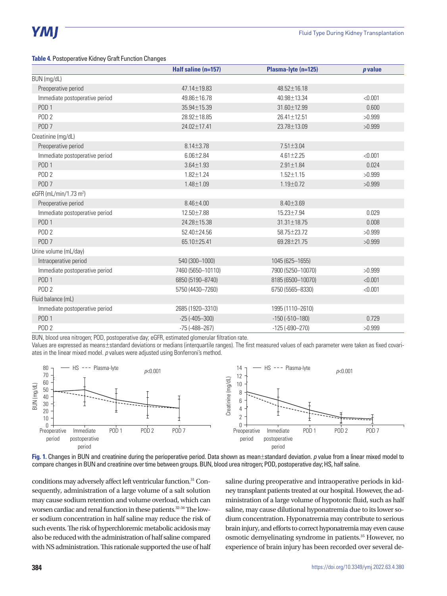### **Table 4.** Postoperative Kidney Graft Function Changes

|                                    | Half saline (n=157)    | Plasma-lyte (n=125) | $p$ value |
|------------------------------------|------------------------|---------------------|-----------|
| BUN (mg/dL)                        |                        |                     |           |
| Preoperative period                | 47.14±19.83            | 48.52±16.18         |           |
| Immediate postoperative period     | 49.86±16.78            | 40.98±13.34         | < 0.001   |
| POD <sub>1</sub>                   | 35.94±15.39            | 31.60±12.99         | 0.600     |
| POD <sub>2</sub>                   | 28.92±18.85            | 26.41±12.51         | >0.999    |
| POD <sub>7</sub>                   | 24.02±17.41            | 23.78±13.09         | >0.999    |
| Creatinine (mg/dL)                 |                        |                     |           |
| Preoperative period                | $8.14 \pm 3.78$        | $7.51 \pm 3.04$     |           |
| Immediate postoperative period     | $6.06 \pm 2.84$        | $4.61 \pm 2.25$     | < 0.001   |
| POD <sub>1</sub>                   | $3.64 \pm 1.93$        | $2.91 \pm 1.84$     | 0.024     |
| POD <sub>2</sub>                   | $1.82 \pm 1.24$        | $1.52 \pm 1.15$     | >0.999    |
| POD <sub>7</sub>                   | $1.48 \pm 1.09$        | $1.19 \pm 0.72$     | >0.999    |
| eGFR (mL/min/1.73 m <sup>2</sup> ) |                        |                     |           |
| Preoperative period                | $8.46 \pm 4.00$        | $8.40 \pm 3.69$     |           |
| Immediate postoperative period     | 12.50±7.88             | 15.23±7.94          | 0.029     |
| POD <sub>1</sub>                   | 24.28±15.38            | 31.31±18.75         | 0.008     |
| POD <sub>2</sub>                   | 52.40±24.56            | 58.75±23.72         | >0.999    |
| POD <sub>7</sub>                   | 65.10±25.41            | 69.28±21.75         | >0.999    |
| Urine volume (mL/day)              |                        |                     |           |
| Intraoperative period              | 540 (300-1000)         | 1045 (625-1655)     |           |
| Immediate postoperative period     | 7460 (5650-10110)      | 7900 (5250-10070)   | >0.999    |
| POD <sub>1</sub>                   | 6850 (5190-8740)       | 8185 (6500-10070)   | < 0.001   |
| POD <sub>2</sub>                   | 5750 (4430-7260)       | 6750 (5565-8330)    | < 0.001   |
| Fluid balance (mL)                 |                        |                     |           |
| Immediate postoperative period     | 2685 (1920-3310)       | 1995 (1110-2610)    |           |
| POD <sub>1</sub>                   | $-25(-405-300)$        | $-150(-510-180)$    | 0.729     |
| POD <sub>2</sub>                   | $-75$ ( $-488 - 267$ ) | $-125(-690-270)$    | >0.999    |

BUN, blood urea nitrogen; POD, postoperative day; eGFR, estimated glomerular filtration rate.

Values are expressed as means±standard deviations or medians (interquartile ranges). The first measured values of each parameter were taken as fixed covariates in the linear mixed model. *p* values were adjusted using Bonferroni's method.



**Fig. 1.** Changes in BUN and creatinine during the perioperative period. Data shown as mean±standard deviation. *p* value from a linear mixed model to compare changes in BUN and creatinine over time between groups. BUN, blood urea nitrogen; POD, postoperative day; HS, half saline.

conditions may adversely affect left ventricular function.31 Consequently, administration of a large volume of a salt solution may cause sodium retention and volume overload, which can worsen cardiac and renal function in these patients.<sup>32-34</sup> The lower sodium concentration in half saline may reduce the risk of such events. The risk of hyperchloremic metabolic acidosis may also be reduced with the administration of half saline compared with NS administration. This rationale supported the use of half saline during preoperative and intraoperative periods in kidney transplant patients treated at our hospital. However, the administration of a large volume of hypotonic fluid, such as half saline, may cause dilutional hyponatremia due to its lower sodium concentration. Hyponatremia may contribute to serious brain injury, and efforts to correct hyponatremia may even cause osmotic demyelinating syndrome in patients.35 However, no experience of brain injury has been recorded over several de-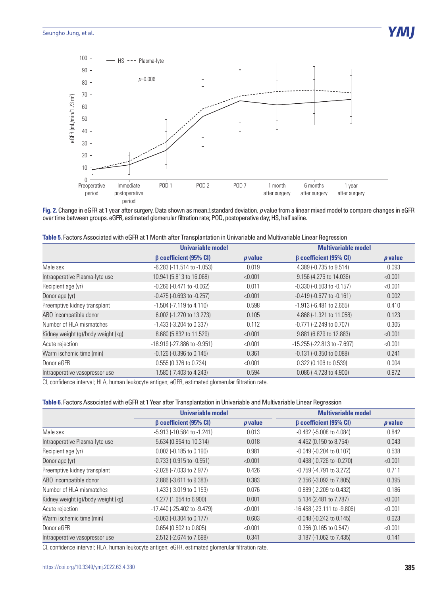

**Fig. 2.** Change in eGFR at 1 year after surgery. Data shown as mean±standard deviation. *p* value from a linear mixed model to compare changes in eGFR over time between groups. eGFR, estimated glomerular filtration rate; POD, postoperative day; HS, half saline.

| Table 5. Factors Associated with eGFR at 1 Month after Transplantation in Univariable and Multivariable Linear Regression |  |
|---------------------------------------------------------------------------------------------------------------------------|--|
|                                                                                                                           |  |

|                                    | Univariable model                |           | <b>Multivariable model</b>          |           |
|------------------------------------|----------------------------------|-----------|-------------------------------------|-----------|
|                                    | $\beta$ coefficient (95% CI)     | $p$ value | $\beta$ coefficient (95% CI)        | $p$ value |
| Male sex                           | $-6.283$ $(-11.514$ to $-1.053)$ | 0.019     | 4.389 (-0.735 to 9.514)             | 0.093     |
| Intraoperative Plasma-lyte use     | 10.941 (5.813 to 16.068)         | < 0.001   | 9.156 (4.276 to 14.036)             | < 0.001   |
| Recipient age (yr)                 | $-0.266$ $(-0.471$ to $-0.062)$  | 0.011     | $-0.330$ $(-0.503$ to $-0.157)$     | < 0.001   |
| Donor age (yr)                     | $-0.475$ $(-0.693$ to $-0.257)$  | < 0.001   | $-0.419(-0.677)$ to $-0.161$ )      | 0.002     |
| Preemptive kidney transplant       | $-1.504$ ( $-7.119$ to 4.110)    | 0.598     | $-1.913$ ( $-6.481$ to 2.655)       | 0.410     |
| ABO incompatible donor             | 6.002 (-1.270 to 13.273)         | 0.105     | 4.868 (-1.321 to 11.058)            | 0.123     |
| Number of HLA mismatches           | $-1.433$ ( $-3.204$ to 0.337)    | 0.112     | $-0.771$ ( $-2.249$ to 0.707)       | 0.305     |
| Kidney weight (g)/body weight (kg) | 8.680 (5.832 to 11.529)          | < 0.001   | 9.881 (6.879 to 12.883)             | < 0.001   |
| Acute rejection                    | -18.919 (-27.886 to -9.951)      | < 0.001   | $-15.255$ ( $-22.813$ to $-7.697$ ) | < 0.001   |
| Warm ischemic time (min)           | $-0.126$ ( $-0.396$ to $0.145$ ) | 0.361     | $-0.131$ ( $-0.350$ to $0.088$ )    | 0.241     |
| Donor eGFR                         | 0.555 (0.376 to 0.734)           | < 0.001   | 0.322 (0.106 to 0.539)              | 0.004     |
| Intraoperative vasopressor use     | $-1.580$ ( $-7.403$ to 4.243)    | 0.594     | 0.086 (-4.728 to 4.900)             | 0.972     |

CI, confidence interval; HLA, human leukocyte antigen; eGFR, estimated glomerular filtration rate.

|  | <b>Table 6.</b> Factors Associated with eGFR at 1 Year after Transplantation in Univariable and Multivariable Linear Regression |  |
|--|---------------------------------------------------------------------------------------------------------------------------------|--|
|--|---------------------------------------------------------------------------------------------------------------------------------|--|

|                                    | Univariable model                 |           | <b>Multivariable model</b>          |                |
|------------------------------------|-----------------------------------|-----------|-------------------------------------|----------------|
|                                    | $\beta$ coefficient (95% CI)      | $p$ value | $\beta$ coefficient (95% CI)        | <i>p</i> value |
| Male sex                           | -5.913 (-10.584 to -1.241)        | 0.013     | $-0.462$ ( $-5.008$ to 4.084)       | 0.842          |
| Intraoperative Plasma-lyte use     | 5.634 (0.954 to 10.314)           | 0.018     | 4.452 (0.150 to 8.754)              | 0.043          |
| Recipient age (yr)                 | $0.002$ (-0.185 to 0.190)         | 0.981     | $-0.049$ ( $-0.204$ to 0.107)       | 0.538          |
| Donor age (yr)                     | $-0.733$ ( $-0.915$ to $-0.551$ ) | < 0.001   | $-0.498$ $(-0.726$ to $-0.270$ )    | < 0.001        |
| Preemptive kidney transplant       | -2.028 (-7.033 to 2.977)          | 0.426     | $-0.759$ ( $-4.791$ to 3.272)       | 0.711          |
| ABO incompatible donor             | 2.886 (-3.611 to 9.383)           | 0.383     | 2.356 (-3.092 to 7.805)             | 0.395          |
| Number of HLA mismatches           | $-1.433$ ( $-3.019$ to 0.153)     | 0.076     | $-0.889$ ( $-2.209$ to $0.432$ )    | 0.186          |
| Kidney weight (g)/body weight (kg) | 4.277 (1.654 to 6.900)            | 0.001     | 5.134 (2.481 to 7.787)              | < 0.001        |
| Acute rejection                    | -17.440 (-25.402 to -9.479)       | < 0.001   | $-16.458$ ( $-23.111$ to $-9.806$ ) | < 0.001        |
| Warm ischemic time (min)           | $-0.063$ ( $-0.304$ to $0.177$ )  | 0.603     | $-0.048$ ( $-0.242$ to $0.145$ )    | 0.623          |
| Donor eGFR                         | 0.654 (0.502 to 0.805)            | < 0.001   | 0.356 (0.165 to 0.547)              | < 0.001        |
| Intraoperative vasopressor use     | 2.512 (-2.674 to 7.698)           | 0.341     | 3.187 (-1.062 to 7.435)             | 0.141          |

CI, confidence interval; HLA, human leukocyte antigen; eGFR, estimated glomerular filtration rate.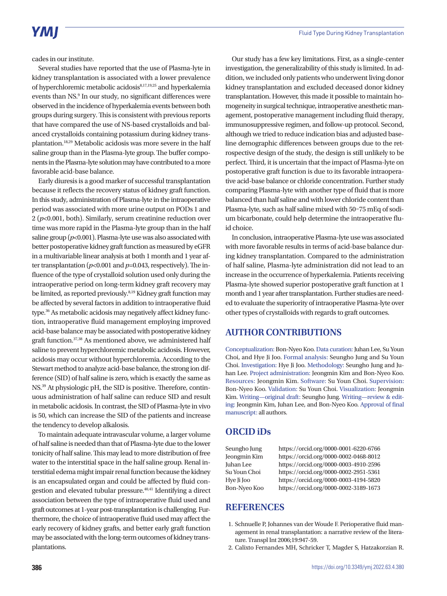cades in our institute.

Several studies have reported that the use of Plasma-lyte in kidney transplantation is associated with a lower prevalence of hyperchloremic metabolic acidosis<sup>8,17,19,25</sup> and hyperkalemia events than NS.<sup>9</sup> In our study, no significant differences were observed in the incidence of hyperkalemia events between both groups during surgery. This is consistent with previous reports that have compared the use of NS-based crystalloids and balanced crystalloids containing potassium during kidney transplantation.18,29 Metabolic acidosis was more severe in the half saline group than in the Plasma-lyte group. The buffer components in the Plasma-lyte solution may have contributed to a more favorable acid-base balance.

Early diuresis is a good marker of successful transplantation because it reflects the recovery status of kidney graft function. In this study, administration of Plasma-lyte in the intraoperative period was associated with more urine output on PODs 1 and 2 (*p*<0.001, both). Similarly, serum creatinine reduction over time was more rapid in the Plasma-lyte group than in the half saline group  $(p<0.001)$ . Plasma-lyte use was also associated with better postoperative kidney graft function as measured by eGFR in a multivariable linear analysis at both 1 month and 1 year after transplantation (*p*<0.001 and *p*=0.043, respectively). The influence of the type of crystalloid solution used only during the intraoperative period on long-term kidney graft recovery may be limited, as reported previously.8,19 Kidney graft function may be affected by several factors in addition to intraoperative fluid type.36 As metabolic acidosis may negatively affect kidney function, intraoperative fluid management employing improved acid-base balance may be associated with postoperative kidney graft function.37,38 As mentioned above, we administered half saline to prevent hyperchloremic metabolic acidosis. However, acidosis may occur without hyperchloremia. According to the Stewart method to analyze acid-base balance, the strong ion difference (SID) of half saline is zero, which is exactly the same as NS.39 At physiologic pH, the SID is positive. Therefore, continuous administration of half saline can reduce SID and result in metabolic acidosis. In contrast, the SID of Plasma-lyte in vivo is 50, which can increase the SID of the patients and increase the tendency to develop alkalosis.

To maintain adequate intravascular volume, a larger volume of half saline is needed than that of Plasma-lyte due to the lower tonicity of half saline. This may lead to more distribution of free water to the interstitial space in the half saline group. Renal interstitial edema might impair renal function because the kidney is an encapsulated organ and could be affected by fluid congestion and elevated tubular pressure.40,41 Identifying a direct association between the type of intraoperative fluid used and graft outcomes at 1-year post-transplantation is challenging. Furthermore, the choice of intraoperative fluid used may affect the early recovery of kidney grafts, and better early graft function may be associated with the long-term outcomes of kidney transplantations.

Our study has a few key limitations. First, as a single-center investigation, the generalizability of this study is limited. In addition, we included only patients who underwent living donor kidney transplantation and excluded deceased donor kidney transplantation. However, this made it possible to maintain homogeneity in surgical technique, intraoperative anesthetic management, postoperative management including fluid therapy, immunosuppressive regimen, and follow-up protocol. Second, although we tried to reduce indication bias and adjusted baseline demographic differences between groups due to the retrospective design of the study, the design is still unlikely to be perfect. Third, it is uncertain that the impact of Plasma-lyte on postoperative graft function is due to its favorable intraoperative acid-base balance or chloride concentration. Further study comparing Plasma-lyte with another type of fluid that is more balanced than half saline and with lower chloride content than Plasma-lyte, such as half saline mixed with 50–75 mEq of sodium bicarbonate, could help determine the intraoperative fluid choice.

In conclusion, intraoperative Plasma-lyte use was associated with more favorable results in terms of acid-base balance during kidney transplantation. Compared to the administration of half saline, Plasma-lyte administration did not lead to an increase in the occurrence of hyperkalemia. Patients receiving Plasma-lyte showed superior postoperative graft function at 1 month and 1 year after transplantation. Further studies are needed to evaluate the superiority of intraoperative Plasma-lyte over other types of crystalloids with regards to graft outcomes.

## **AUTHOR CONTRIBUTIONS**

Conceptualization: Bon-Nyeo Koo. Data curation: Juhan Lee, Su Youn Choi, and Hye Ji Joo. Formal analysis: Seungho Jung and Su Youn Choi. Investigation: Hye Ji Joo. Methodology: Seungho Jung and Juhan Lee. Project administration: Jeongmin Kim and Bon-Nyeo Koo. Resources: Jeongmin Kim. Software: Su Youn Choi. Supervision: Bon-Nyeo Koo. Validation: Su Youn Choi. Visualization: Jeongmin Kim. Writing—original draft: Seungho Jung. Writing—review & editing: Jeongmin Kim, Juhan Lee, and Bon-Nyeo Koo. Approval of final manuscript: all authors.

## **ORCID iDs**

Seungho Jung https://orcid.org/0000-0001-6220-6766 Jeongmin Kim https://orcid.org/0000-0002-0468-8012 Juhan Lee https://orcid.org/0000-0003-4910-2596 Su Youn Choi https://orcid.org/0000-0002-2951-5361 Hye Ji Joo https://orcid.org/0000-0003-4194-5820 Bon-Nyeo Koo https://orcid.org/0000-0002-3189-1673

## **REFERENCES**

- 1. Schnuelle P, Johannes van der Woude F. Perioperative fluid management in renal transplantation: a narrative review of the literature. Transpl Int 2006;19:947-59.
- 2. Calixto Fernandes MH, Schricker T, Magder S, Hatzakorzian R.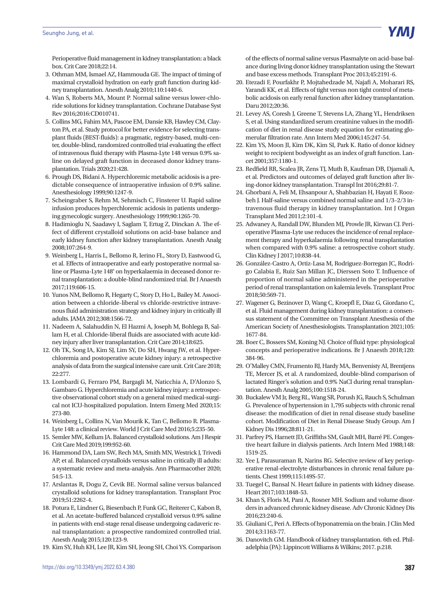Perioperative fluid management in kidney transplantation: a black box. Crit Care 2018;22:14.

- 3. Othman MM, Ismael AZ, Hammouda GE. The impact of timing of maximal crystalloid hydration on early graft function during kidney transplantation. Anesth Analg 2010;110:1440-6.
- 4. Wan S, Roberts MA, Mount P. Normal saline versus lower-chloride solutions for kidney transplantation. Cochrane Database Syst Rev 2016;2016:CD010741.
- 5. Collins MG, Fahim MA, Pascoe EM, Dansie KB, Hawley CM, Clayton PA, et al. Study protocol for better evidence for selecting transplant fluids (BEST-fluids): a pragmatic, registry-based, multi-center, double-blind, randomized controlled trial evaluating the effect of intravenous fluid therapy with Plasma-Lyte 148 versus 0.9% saline on delayed graft function in deceased donor kidney transplantation. Trials 2020;21:428.
- 6. Prough DS, Bidani A. Hyperchloremic metabolic acidosis is a predictable consequence of intraoperative infusion of 0.9% saline. Anesthesiology 1999;90:1247-9.
- 7. Scheingraber S, Rehm M, Sehmisch C, Finsterer U. Rapid saline infusion produces hyperchloremic acidosis in patients undergoing gynecologic surgery. Anesthesiology 1999;90:1265-70.
- 8. Hadimioglu N, Saadawy I, Saglam T, Ertug Z, Dinckan A. The effect of different crystalloid solutions on acid-base balance and early kidney function after kidney transplantation. Anesth Analg 2008;107:264-9.
- 9. Weinberg L, Harris L, Bellomo R, Ierino FL, Story D, Eastwood G, et al. Effects of intraoperative and early postoperative normal saline or Plasma-Lyte 148® on hyperkalaemia in deceased donor renal transplantation: a double-blind randomized trial. Br J Anaesth 2017;119:606-15.
- 10. Yunos NM, Bellomo R, Hegarty C, Story D, Ho L, Bailey M. Association between a chloride-liberal vs chloride-restrictive intravenous fluid administration strategy and kidney injury in critically ill adults. JAMA 2012;308:1566-72.
- 11. Nadeem A, Salahuddin N, El Hazmi A, Joseph M, Bohlega B, Sallam H, et al. Chloride-liberal fluids are associated with acute kidney injury after liver transplantation. Crit Care 2014;18:625.
- 12. Oh TK, Song IA, Kim SJ, Lim SY, Do SH, Hwang JW, et al. Hyperchloremia and postoperative acute kidney injury: a retrospective analysis of data from the surgical intensive care unit. Crit Care 2018; 22:277.
- 13. Lombardi G, Ferraro PM, Bargagli M, Naticchia A, D'Alonzo S, Gambaro G. Hyperchloremia and acute kidney injury: a retrospective observational cohort study on a general mixed medical-surgical not ICU-hospitalized population. Intern Emerg Med 2020;15: 273-80.
- 14. Weinberg L, Collins N, Van Mourik K, Tan C, Bellomo R. Plasma-Lyte 148: a clinical review. World J Crit Care Med 2016;5:235-50.
- 15. Semler MW, Kellum JA. Balanced crystalloid solutions. Am J Respir Crit Care Med 2019;199:952-60.
- 16. Hammond DA, Lam SW, Rech MA, Smith MN, Westrick J, Trivedi AP, et al. Balanced crystalloids versus saline in critically ill adults: a systematic review and meta-analysis. Ann Pharmacother 2020; 54:5-13.
- 17. Arslantas R, Dogu Z, Cevik BE. Normal saline versus balanced crystalloid solutions for kidney transplantation. Transplant Proc 2019;51:2262-4.
- 18. Potura E, Lindner G, Biesenbach P, Funk GC, Reiterer C, Kabon B, et al. An acetate-buffered balanced crystalloid versus 0.9% saline in patients with end-stage renal disease undergoing cadaveric renal transplantation: a prospective randomized controlled trial. Anesth Analg 2015;120:123-9.
- 19. Kim SY, Huh KH, Lee JR, Kim SH, Jeong SH, Choi YS. Comparison

of the effects of normal saline versus Plasmalyte on acid-base balance during living donor kidney transplantation using the Stewart and base excess methods. Transplant Proc 2013;45:2191-6.

- 20. Etezadi F, Pourfakhr P, Mojtahedzade M, Najafi A, Moharari RS, Yarandi KK, et al. Effects of tight versus non tight control of metabolic acidosis on early renal function after kidney transplantation. Daru 2012;20:36.
- 21. Levey AS, Coresh J, Greene T, Stevens LA, Zhang YL, Hendriksen S, et al. Using standardized serum creatinine values in the modification of diet in renal disease study equation for estimating glomerular filtration rate. Ann Intern Med 2006;145:247-54.
- 22. Kim YS, Moon JI, Kim DK, Kim SI, Park K. Ratio of donor kidney weight to recipient bodyweight as an index of graft function. Lancet 2001;357:1180-1.
- 23. Redfield RR, Scalea JR, Zens TJ, Muth B, Kaufman DB, Djamali A, et al. Predictors and outcomes of delayed graft function after living-donor kidney transplantation. Transpl Int 2016;29:81-7.
- 24. Ghorbani A, Feli M, Ehsanpour A, Shahbazian H, Hayati F, Roozbeh J. Half-saline versus combined normal saline and 1/3–2/3 intravenous fluid therapy in kidney transplantation. Int J Organ Transplant Med 2011;2:101-4.
- 25. Adwaney A, Randall DW, Blunden MJ, Prowle JR, Kirwan CJ. Perioperative Plasma-Lyte use reduces the incidence of renal replacement therapy and hyperkalaemia following renal transplantation when compared with 0.9% saline: a retrospective cohort study. Clin Kidney J 2017;10:838-44.
- 26. González-Castro A, Ortiz-Lasa M, Rodriguez-Borregan JC, Rodrigo Calabia E, Ruiz San Millan JC, Dierssen Soto T. Influence of proportion of normal saline administered in the perioperative period of renal transplantation on kalemia levels. Transplant Proc 2018;50:569-71.
- 27. Wagener G, Bezinover D, Wang C, Kroepfl E, Diaz G, Giordano C, et al. Fluid management during kidney transplantation: a consensus statement of the Committee on Transplant Anesthesia of the American Society of Anesthesiologists. Transplantation 2021;105: 1677-84.
- 28. Boer C, Bossers SM, Koning NJ. Choice of fluid type: physiological concepts and perioperative indications. Br J Anaesth 2018;120: 384-96.
- 29. O'Malley CMN, Frumento RJ, Hardy MA, Benvenisty AI, Brentjens TE, Mercer JS, et al. A randomized, double-blind comparison of lactated Ringer's solution and 0.9% NaCl during renal transplantation. Anesth Analg 2005;100:1518-24.
- 30. Buckalew VM Jr, Berg RL, Wang SR, Porush JG, Rauch S, Schulman G. Prevalence of hypertension in 1,795 subjects with chronic renal disease: the modification of diet in renal disease study baseline cohort. Modification of Diet in Renal Disease Study Group. Am J Kidney Dis 1996;28:811-21.
- 31. Parfrey PS, Harnett JD, Griffiths SM, Gault MH, Barré PE. Congestive heart failure in dialysis patients. Arch Intern Med 1988;148: 1519-25.
- 32. Yee J, Parasuraman R, Narins RG. Selective review of key perioperative renal-electrolyte disturbances in chronic renal failure patients. Chest 1999;115:149S-57.
- 33. Tuegel C, Bansal N. Heart failure in patients with kidney disease. Heart 2017;103:1848-53.
- 34. Khan S, Floris M, Pani A, Rosner MH. Sodium and volume disorders in advanced chronic kidney disease. Adv Chronic Kidney Dis 2016;23:240-6.
- 35. Giuliani C, Peri A. Effects of hyponatremia on the brain. J Clin Med 2014;3:1163-77.
- 36. Danovitch GM. Handbook of kidney transplantation. 6th ed. Philadelphia (PA): Lippincott Williams & Wilkins; 2017. p.218.